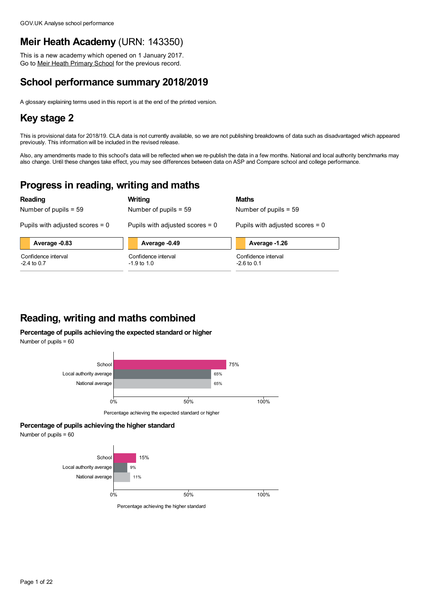# **Meir Heath Academy** (URN: 143350)

This is a new academy which opened on 1 January 2017. Go to Meir Heath [Primary](https://www.analyse-school-performance.service.gov.uk/School/Details/124145) School for the previous record.

# **School performance summary 2018/2019**

A glossary explaining terms used in this report is at the end of the printed version.

# **Key stage 2**

This is provisional data for 2018/19. CLA data is not currently available, so we are not publishing breakdowns of data such as disadvantaged which appeared previously. This information will be included in the revised release.

Also, any amendments made to this school's data will be reflected when we re-publish the data in a few months. National and local authority benchmarks may also change. Until these changes take effect, you may see differences between data on ASP and Compare school and college performance.

# **Progress in reading, writing and maths**

|                                      | Reading                           |                         | Writing                              | Maths                                |                                   |  |  |
|--------------------------------------|-----------------------------------|-------------------------|--------------------------------------|--------------------------------------|-----------------------------------|--|--|
|                                      | Number of pupils $= 59$           | Number of pupils $= 59$ |                                      |                                      | Number of pupils $= 59$           |  |  |
|                                      | Pupils with adjusted scores $= 0$ |                         | Pupils with adjusted scores $= 0$    |                                      | Pupils with adjusted scores $= 0$ |  |  |
|                                      | Average -0.83                     | Average -0.49           |                                      |                                      | Average -1.26                     |  |  |
| Confidence interval<br>$-2.4$ to 0.7 |                                   |                         | Confidence interval<br>$-1.9$ to 1.0 | Confidence interval<br>$-2.6$ to 0.1 |                                   |  |  |

# **Reading, writing and maths combined**

## **Percentage of pupils achieving the expected standard or higher**

Number of pupils = 60



Percentage achieving the expected standard or higher

### **Percentage of pupils achieving the higher standard**

Number of pupils = 60



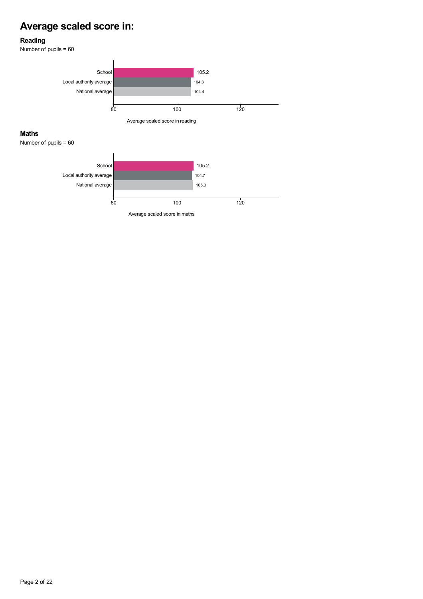# **Average scaled score in:**

### **Reading**

Number of pupils = 60

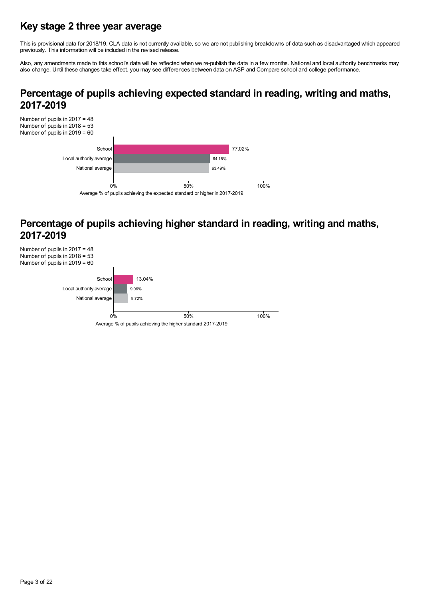# **Key stage 2 three year average**

This is provisional data for 2018/19. CLA data is not currently available, so we are not publishing breakdowns of data such as disadvantaged which appeared previously. This information will be included in the revised release.

Also, any amendments made to this school's data will be reflected when we re-publish the data in a few months. National and local authority benchmarks may<br>also change. Until these changes take effect, you may see differenc

# **Percentage of pupils achieving expected standard in reading, writing and maths, 2017-2019**



# **Percentage of pupils achieving higher standard in reading, writing and maths, 2017-2019**

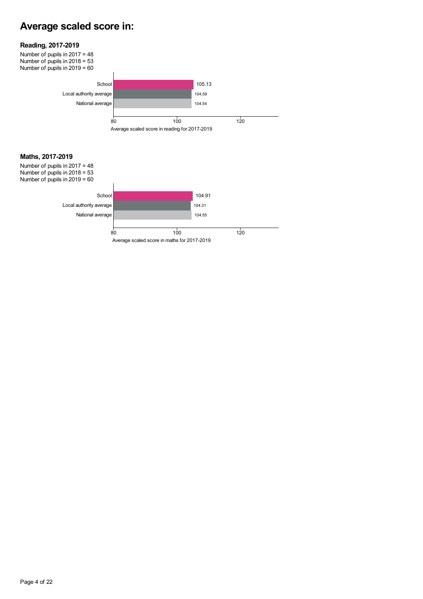# **Average scaled score in:**



Number of pupils in 2017 = 48 Number of pupils in 2018 = 53 Number of pupils in 2019 = 60



### **Maths, 2017-2019**

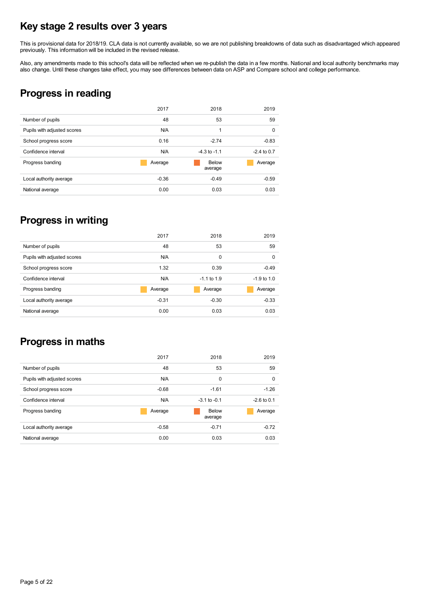# **Key stage 2 results over 3 years**

This is provisional data for 2018/19. CLA data is not currently available, so we are not publishing breakdowns of data such as disadvantaged which appeared previously. This information will be included in the revised release.

Also, any amendments made to this school's data will be reflected when we re-publish the data in a few months. National and local authority benchmarks may also change. Until these changes take effect, you may see differenc

# **Progress in reading**

|                             | 2017    | 2018                    | 2019          |
|-----------------------------|---------|-------------------------|---------------|
| Number of pupils            | 48      | 53                      | 59            |
| Pupils with adjusted scores | N/A     | 1                       | 0             |
| School progress score       | 0.16    | $-2.74$                 | $-0.83$       |
| Confidence interval         | N/A     | $-4.3$ to $-1.1$        | $-2.4$ to 0.7 |
| Progress banding            | Average | <b>Below</b><br>average | Average       |
| Local authority average     | $-0.36$ | $-0.49$                 | $-0.59$       |
| National average            | 0.00    | 0.03                    | 0.03          |

# **Progress in writing**

|                             | 2017    | 2018          | 2019          |
|-----------------------------|---------|---------------|---------------|
| Number of pupils            | 48      | 53            | 59            |
| Pupils with adjusted scores | N/A     | 0             | 0             |
| School progress score       | 1.32    | 0.39          | $-0.49$       |
| Confidence interval         | N/A     | $-1.1$ to 1.9 | $-1.9$ to 1.0 |
| Progress banding            | Average | Average       | Average       |
| Local authority average     | $-0.31$ | $-0.30$       | $-0.33$       |
| National average            | 0.00    | 0.03          | 0.03          |

# **Progress in maths**

|                             | 2017    | 2018             | 2019          |
|-----------------------------|---------|------------------|---------------|
| Number of pupils            | 48      | 53               | 59            |
| Pupils with adjusted scores | N/A     | $\Omega$         | 0             |
| School progress score       | $-0.68$ | $-1.61$          | $-1.26$       |
| Confidence interval         | N/A     | $-3.1$ to $-0.1$ | $-2.6$ to 0.1 |
| Progress banding            | Average | Below<br>average | Average       |
| Local authority average     | $-0.58$ | $-0.71$          | $-0.72$       |
| National average            | 0.00    | 0.03             | 0.03          |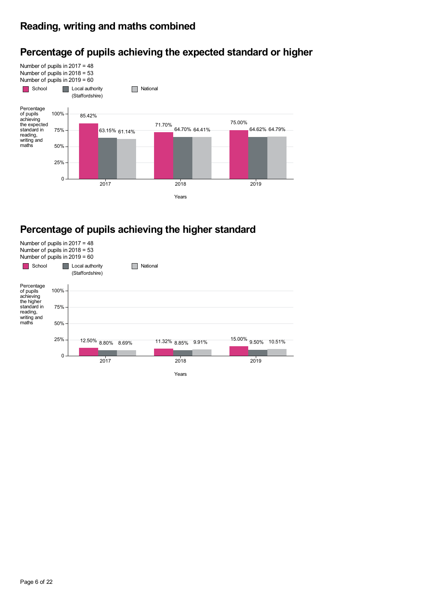# **Reading, writing and maths combined**

#### Number of pupils in 2017 = 48 Number of pupils in 2018 = 53 Number of pupils in 2019 = 60 School **Local authority** (Staffordshire) **National** 85.42% 71.70% 75.00% 63.15% 64.70% 64.62% 61.14% 64.41% 64.79% Percentage<br>of pupils achieving the expected standard in reading, writing and maths Years  $\Omega$ 25% 50% 75% 100% 2017 2018 2019

# **Percentage of pupils achieving the expected standard or higher**

# **Percentage of pupils achieving the higher standard**

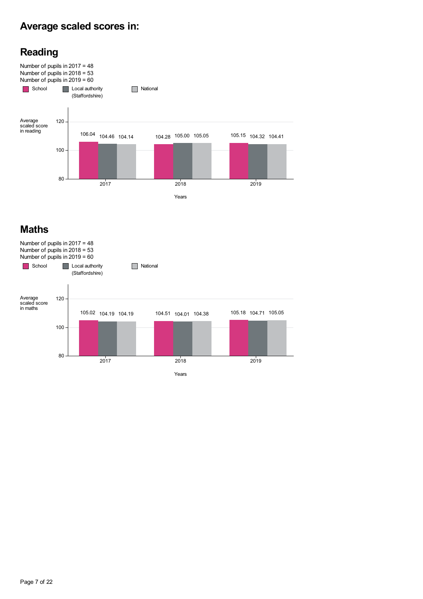# **Average scaled scores in:**





# **Maths**

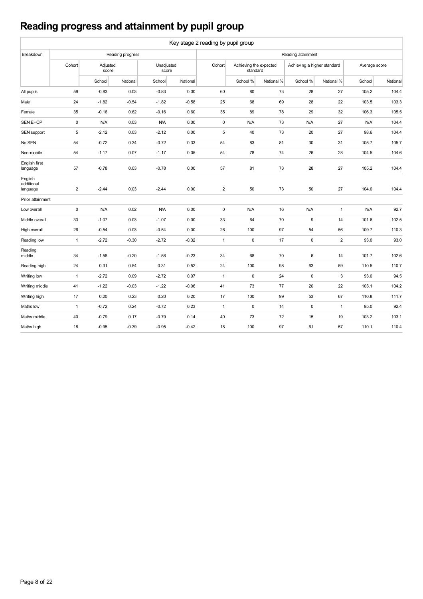# **Reading progress and attainment by pupil group**

|                                   | Key stage 2 reading by pupil group |                   |                  |                     |          |                |                                    |            |                             |                |               |          |
|-----------------------------------|------------------------------------|-------------------|------------------|---------------------|----------|----------------|------------------------------------|------------|-----------------------------|----------------|---------------|----------|
| Breakdown                         |                                    |                   | Reading progress |                     |          |                |                                    |            | Reading attainment          |                |               |          |
|                                   | Cohort                             | Adjusted<br>score |                  | Unadjusted<br>score |          | Cohort         | Achieving the expected<br>standard |            | Achieving a higher standard |                | Average score |          |
|                                   |                                    | School            | National         | School              | National |                | School %                           | National % | School %                    | National %     | School        | National |
| All pupils                        | 59                                 | $-0.83$           | 0.03             | $-0.83$             | 0.00     | 60             | 80                                 | 73         | 28                          | 27             | 105.2         | 104.4    |
| Male                              | 24                                 | $-1.82$           | $-0.54$          | $-1.82$             | $-0.58$  | 25             | 68                                 | 69         | 28                          | 22             | 103.5         | 103.3    |
| Female                            | 35                                 | $-0.16$           | 0.62             | $-0.16$             | 0.60     | 35             | 89                                 | 78         | 29                          | 32             | 106.3         | 105.5    |
| <b>SEN EHCP</b>                   | $\mathsf 0$                        | N/A               | 0.03             | N/A                 | 0.00     | $\mathbf 0$    | N/A                                | 73         | N/A                         | 27             | <b>N/A</b>    | 104.4    |
| SEN support                       | 5                                  | $-2.12$           | 0.03             | $-2.12$             | 0.00     | 5              | 40                                 | 73         | 20                          | 27             | 98.6          | 104.4    |
| No SEN                            | 54                                 | $-0.72$           | 0.34             | $-0.72$             | 0.33     | 54             | 83                                 | 81         | 30                          | 31             | 105.7         | 105.7    |
| Non-mobile                        | 54                                 | $-1.17$           | 0.07             | $-1.17$             | 0.05     | 54             | 78                                 | 74         | 26                          | 28             | 104.5         | 104.6    |
| English first<br>language         | 57                                 | $-0.78$           | 0.03             | $-0.78$             | 0.00     | 57             | 81                                 | 73         | 28                          | 27             | 105.2         | 104.4    |
| English<br>additional<br>language | $\overline{2}$                     | $-2.44$           | 0.03             | $-2.44$             | 0.00     | $\overline{2}$ | 50                                 | 73         | 50                          | 27             | 104.0         | 104.4    |
| Prior attainment                  |                                    |                   |                  |                     |          |                |                                    |            |                             |                |               |          |
| Low overall                       | $\pmb{0}$                          | N/A               | 0.02             | N/A                 | 0.00     | $\mathsf 0$    | N/A                                | 16         | <b>N/A</b>                  | 1              | <b>N/A</b>    | 92.7     |
| Middle overall                    | 33                                 | $-1.07$           | 0.03             | $-1.07$             | 0.00     | 33             | 64                                 | 70         | 9                           | 14             | 101.6         | 102.5    |
| High overall                      | 26                                 | $-0.54$           | 0.03             | $-0.54$             | 0.00     | 26             | 100                                | 97         | 54                          | 56             | 109.7         | 110.3    |
| Reading low                       | $\mathbf{1}$                       | $-2.72$           | $-0.30$          | $-2.72$             | $-0.32$  | $\mathbf{1}$   | $\mathsf 0$                        | 17         | $\mathbf 0$                 | $\overline{2}$ | 93.0          | 93.0     |
| Reading<br>middle                 | 34                                 | $-1.58$           | $-0.20$          | $-1.58$             | $-0.23$  | 34             | 68                                 | 70         | 6                           | 14             | 101.7         | 102.6    |
| Reading high                      | 24                                 | 0.31              | 0.54             | 0.31                | 0.52     | 24             | 100                                | 98         | 63                          | 59             | 110.5         | 110.7    |
| Writing low                       | $\mathbf{1}$                       | $-2.72$           | 0.09             | $-2.72$             | 0.07     | $\overline{1}$ | $\mathsf 0$                        | 24         | $\mathbf 0$                 | 3              | 93.0          | 94.5     |
| Writing middle                    | 41                                 | $-1.22$           | $-0.03$          | $-1.22$             | $-0.06$  | 41             | 73                                 | 77         | 20                          | 22             | 103.1         | 104.2    |
| Writing high                      | 17                                 | 0.20              | 0.23             | 0.20                | 0.20     | 17             | 100                                | 99         | 53                          | 67             | 110.8         | 111.7    |
| Maths low                         | $\mathbf{1}$                       | $-0.72$           | 0.24             | $-0.72$             | 0.23     | $\mathbf{1}$   | $\pmb{0}$                          | 14         | $\mathbf 0$                 | $\mathbf{1}$   | 95.0          | 92.4     |
| Maths middle                      | 40                                 | $-0.79$           | 0.17             | $-0.79$             | 0.14     | 40             | 73                                 | 72         | 15                          | 19             | 103.2         | 103.1    |
| Maths high                        | 18                                 | $-0.95$           | $-0.39$          | $-0.95$             | $-0.42$  | 18             | 100                                | 97         | 61                          | 57             | 110.1         | 110.4    |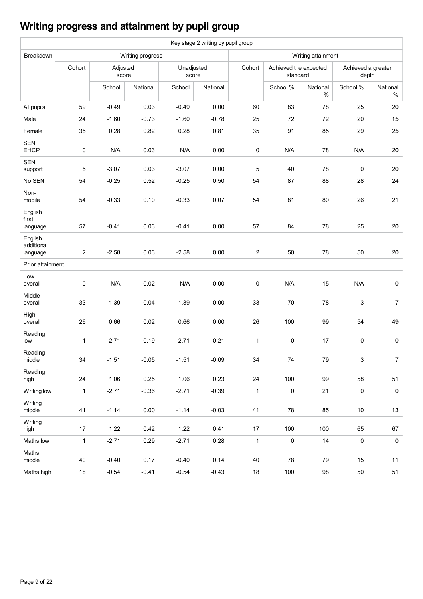# **Writing progress and attainment by pupil group**

|                                   |                |                   |                  |                     | Key stage 2 writing by pupil group |                |                                   |                  |                             |                  |  |  |  |
|-----------------------------------|----------------|-------------------|------------------|---------------------|------------------------------------|----------------|-----------------------------------|------------------|-----------------------------|------------------|--|--|--|
| Breakdown                         |                |                   | Writing progress |                     |                                    |                | Writing attainment                |                  |                             |                  |  |  |  |
|                                   | Cohort         | Adjusted<br>score |                  | Unadjusted<br>score |                                    | Cohort         | Achieved the expected<br>standard |                  | Achieved a greater<br>depth |                  |  |  |  |
|                                   |                | School            | National         | School              | National                           |                | School %                          | National<br>$\%$ | School %                    | National<br>$\%$ |  |  |  |
| All pupils                        | 59             | $-0.49$           | 0.03             | $-0.49$             | 0.00                               | 60             | 83                                | 78               | 25                          | 20               |  |  |  |
| Male                              | 24             | $-1.60$           | $-0.73$          | $-1.60$             | $-0.78$                            | 25             | 72                                | 72               | 20                          | 15               |  |  |  |
| Female                            | 35             | 0.28              | 0.82             | 0.28                | 0.81                               | 35             | 91                                | 85               | 29                          | 25               |  |  |  |
| <b>SEN</b><br><b>EHCP</b>         | 0              | N/A               | 0.03             | N/A                 | 0.00                               | $\pmb{0}$      | N/A                               | 78               | N/A                         | 20               |  |  |  |
| <b>SEN</b><br>support             | 5              | $-3.07$           | 0.03             | $-3.07$             | 0.00                               | 5              | 40                                | 78               | 0                           | 20               |  |  |  |
| No SEN                            | 54             | $-0.25$           | 0.52             | $-0.25$             | 0.50                               | 54             | 87                                | 88               | 28                          | 24               |  |  |  |
| Non-<br>mobile                    | 54             | $-0.33$           | 0.10             | $-0.33$             | 0.07                               | 54             | 81                                | 80               | 26                          | 21               |  |  |  |
| English<br>first<br>language      | 57             | $-0.41$           | 0.03             | $-0.41$             | 0.00                               | 57             | 84                                | 78               | 25                          | 20               |  |  |  |
| English<br>additional<br>language | $\overline{c}$ | $-2.58$           | 0.03             | $-2.58$             | 0.00                               | $\overline{2}$ | 50                                | 78               | 50                          | 20               |  |  |  |
| Prior attainment                  |                |                   |                  |                     |                                    |                |                                   |                  |                             |                  |  |  |  |
| Low<br>overall                    | $\pmb{0}$      | N/A               | 0.02             | N/A                 | 0.00                               | $\pmb{0}$      | N/A                               | 15               | N/A                         | 0                |  |  |  |
| Middle<br>overall                 | 33             | $-1.39$           | 0.04             | $-1.39$             | 0.00                               | 33             | 70                                | 78               | 3                           | $\boldsymbol{7}$ |  |  |  |
| High<br>overall                   | 26             | 0.66              | 0.02             | 0.66                | 0.00                               | 26             | 100                               | 99               | 54                          | 49               |  |  |  |
| Reading<br>low                    | $\mathbf{1}$   | $-2.71$           | $-0.19$          | $-2.71$             | $-0.21$                            | $\mathbf 1$    | $\mathbf 0$                       | 17               | 0                           | 0                |  |  |  |
| Reading<br>middle                 | 34             | $-1.51$           | $-0.05$          | $-1.51$             | $-0.09$                            | 34             | 74                                | 79               | 3                           | 7                |  |  |  |
| Reading<br>high                   | 24             | 1.06              | 0.25             | 1.06                | 0.23                               | 24             | 100                               | 99               | 58                          | 51               |  |  |  |
| Writing low                       | $\mathbf{1}$   | $-2.71$           | $-0.36$          | $-2.71$             | $-0.39$                            | $\mathbf{1}$   | $\pmb{0}$                         | 21               | $\pmb{0}$                   | $\mathbf 0$      |  |  |  |
| Writing<br>middle                 | 41             | $-1.14$           | 0.00             | $-1.14$             | $-0.03$                            | 41             | 78                                | 85               | $10\,$                      | 13               |  |  |  |
| Writing<br>high                   | 17             | 1.22              | 0.42             | 1.22                | 0.41                               | 17             | 100                               | 100              | 65                          | 67               |  |  |  |
| Maths low                         | $\mathbf{1}$   | $-2.71$           | 0.29             | $-2.71$             | 0.28                               | $\mathbf{1}$   | $\pmb{0}$                         | 14               | $\pmb{0}$                   | $\pmb{0}$        |  |  |  |
| Maths<br>middle                   | 40             | $-0.40$           | 0.17             | $-0.40$             | 0.14                               | 40             | 78                                | 79               | 15                          | 11               |  |  |  |
| Maths high                        | $18\,$         | $-0.54$           | $-0.41$          | $-0.54$             | $-0.43$                            | 18             | 100                               | 98               | 50                          | 51               |  |  |  |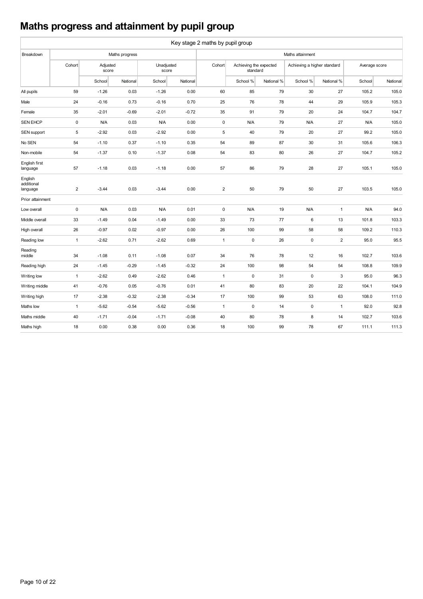# **Maths progress and attainment by pupil group**

|                                   | Key stage 2 maths by pupil group |                   |                |         |                     |                  |                                    |            |                             |              |               |          |  |  |
|-----------------------------------|----------------------------------|-------------------|----------------|---------|---------------------|------------------|------------------------------------|------------|-----------------------------|--------------|---------------|----------|--|--|
| Breakdown                         |                                  |                   | Maths progress |         |                     | Maths attainment |                                    |            |                             |              |               |          |  |  |
|                                   | Cohort                           | Adjusted<br>score |                |         | Unadjusted<br>score |                  | Achieving the expected<br>standard |            | Achieving a higher standard |              | Average score |          |  |  |
|                                   |                                  | School            | National       | School  | National            |                  | School %                           | National % | School %                    | National %   | School        | National |  |  |
| All pupils                        | 59                               | $-1.26$           | 0.03           | $-1.26$ | 0.00                | 60               | 85                                 | 79         | 30                          | 27           | 105.2         | 105.0    |  |  |
| Male                              | 24                               | $-0.16$           | 0.73           | $-0.16$ | 0.70                | 25               | 76                                 | 78         | 44                          | 29           | 105.9         | 105.3    |  |  |
| Female                            | 35                               | $-2.01$           | $-0.69$        | $-2.01$ | $-0.72$             | 35               | 91                                 | 79         | 20                          | 24           | 104.7         | 104.7    |  |  |
| <b>SEN EHCP</b>                   | 0                                | N/A               | 0.03           | N/A     | 0.00                | $\pmb{0}$        | N/A                                | 79         | N/A                         | 27           | <b>N/A</b>    | 105.0    |  |  |
| SEN support                       | 5                                | $-2.92$           | 0.03           | $-2.92$ | 0.00                | $\sqrt{5}$       | 40                                 | 79         | 20                          | 27           | 99.2          | 105.0    |  |  |
| No SEN                            | 54                               | $-1.10$           | 0.37           | $-1.10$ | 0.35                | 54               | 89                                 | 87         | 30                          | 31           | 105.6         | 106.3    |  |  |
| Non-mobile                        | 54                               | $-1.37$           | 0.10           | $-1.37$ | 0.08                | 54               | 83                                 | 80         | 26                          | 27           | 104.7         | 105.2    |  |  |
| English first<br>language         | 57                               | $-1.18$           | 0.03           | $-1.18$ | 0.00                | 57               | 86                                 | 79         | 28                          | 27           | 105.1         | 105.0    |  |  |
| English<br>additional<br>language | $\overline{c}$                   | $-3.44$           | 0.03           | $-3.44$ | 0.00                | $\overline{2}$   | 50                                 | 79         | 50                          | 27           | 103.5         | 105.0    |  |  |
| Prior attainment                  |                                  |                   |                |         |                     |                  |                                    |            |                             |              |               |          |  |  |
| Low overall                       | 0                                | N/A               | 0.03           | N/A     | 0.01                | $\mathsf 0$      | N/A                                | 19         | <b>N/A</b>                  | $\mathbf{1}$ | <b>N/A</b>    | 94.0     |  |  |
| Middle overall                    | 33                               | $-1.49$           | 0.04           | $-1.49$ | 0.00                | 33               | 73                                 | 77         | 6                           | 13           | 101.8         | 103.3    |  |  |
| High overall                      | 26                               | $-0.97$           | 0.02           | $-0.97$ | 0.00                | 26               | 100                                | 99         | 58                          | 58           | 109.2         | 110.3    |  |  |
| Reading low                       | $\mathbf{1}$                     | $-2.62$           | 0.71           | $-2.62$ | 0.69                | $\mathbf{1}$     | $\pmb{0}$                          | 26         | $\mathbf 0$                 | $\mathbf 2$  | 95.0          | 95.5     |  |  |
| Reading<br>middle                 | 34                               | $-1.08$           | 0.11           | $-1.08$ | 0.07                | 34               | 76                                 | 78         | 12                          | 16           | 102.7         | 103.6    |  |  |
| Reading high                      | 24                               | $-1.45$           | $-0.29$        | $-1.45$ | $-0.32$             | 24               | 100                                | 98         | 54                          | 54           | 108.8         | 109.9    |  |  |
| Writing low                       | $\mathbf{1}$                     | $-2.62$           | 0.49           | $-2.62$ | 0.46                | $\mathbf{1}$     | $\pmb{0}$                          | 31         | $\mathbf 0$                 | 3            | 95.0          | 96.3     |  |  |
| Writing middle                    | 41                               | $-0.76$           | 0.05           | $-0.76$ | 0.01                | 41               | 80                                 | 83         | 20                          | 22           | 104.1         | 104.9    |  |  |
| Writing high                      | 17                               | $-2.38$           | $-0.32$        | $-2.38$ | $-0.34$             | 17               | 100                                | 99         | 53                          | 63           | 108.0         | 111.0    |  |  |
| Maths low                         | $\mathbf{1}$                     | $-5.62$           | $-0.54$        | $-5.62$ | $-0.56$             | $\mathbf{1}$     | $\pmb{0}$                          | 14         | $\pmb{0}$                   | $\mathbf{1}$ | 92.0          | 92.8     |  |  |
| Maths middle                      | 40                               | $-1.71$           | $-0.04$        | $-1.71$ | $-0.08$             | 40               | 80                                 | 78         | 8                           | 14           | 102.7         | 103.6    |  |  |
| Maths high                        | 18                               | 0.00              | 0.38           | 0.00    | 0.36                | 18               | 100                                | 99         | 78                          | 67           | 111.1         | 111.3    |  |  |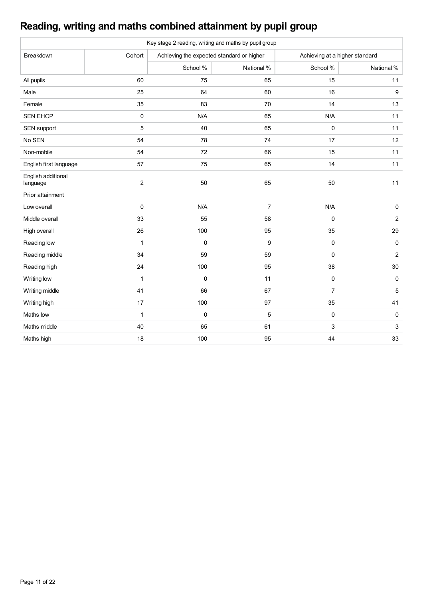# **Reading, writing and maths combined attainment by pupil group**

|                                |              | Key stage 2 reading, writing and maths by pupil group |                  |                |                                |  |  |
|--------------------------------|--------------|-------------------------------------------------------|------------------|----------------|--------------------------------|--|--|
| Breakdown                      | Cohort       | Achieving the expected standard or higher             |                  |                | Achieving at a higher standard |  |  |
|                                |              | School %                                              | National %       | School %       | National %                     |  |  |
| All pupils                     | 60           | 75                                                    | 65               | 15             | 11                             |  |  |
| Male                           | 25           | 64                                                    | 60               | 16             | 9                              |  |  |
| Female                         | 35           | 83                                                    | 70               | 14             | 13                             |  |  |
| <b>SEN EHCP</b>                | 0            | N/A                                                   | 65               | N/A            | 11                             |  |  |
| SEN support                    | 5            | 40                                                    | 65               | $\pmb{0}$      | 11                             |  |  |
| No SEN                         | 54           | 78                                                    | 74               | 17             | 12                             |  |  |
| Non-mobile                     | 54           | 72                                                    | 66               | 15             | 11                             |  |  |
| English first language         | 57           | 75                                                    | 65               | 14             | 11                             |  |  |
| English additional<br>language | $\sqrt{2}$   | 50                                                    | 65               | 50             | 11                             |  |  |
| Prior attainment               |              |                                                       |                  |                |                                |  |  |
| Low overall                    | $\mathbf 0$  | N/A                                                   | $\overline{7}$   | N/A            | $\pmb{0}$                      |  |  |
| Middle overall                 | 33           | 55                                                    | 58               | 0              | $\overline{2}$                 |  |  |
| High overall                   | 26           | 100                                                   | 95               | 35             | 29                             |  |  |
| Reading low                    | $\mathbf{1}$ | $\pmb{0}$                                             | $\boldsymbol{9}$ | $\pmb{0}$      | $\pmb{0}$                      |  |  |
| Reading middle                 | 34           | 59                                                    | 59               | 0              | $\overline{2}$                 |  |  |
| Reading high                   | 24           | 100                                                   | 95               | 38             | 30                             |  |  |
| Writing low                    | $\mathbf{1}$ | $\mathbf 0$                                           | 11               | $\pmb{0}$      | $\pmb{0}$                      |  |  |
| Writing middle                 | 41           | 66                                                    | 67               | $\overline{7}$ | $\sqrt{5}$                     |  |  |
| Writing high                   | 17           | 100                                                   | 97               | 35             | 41                             |  |  |
| Maths low                      | $\mathbf 1$  | $\mathbf 0$                                           | 5                | $\pmb{0}$      | 0                              |  |  |
| Maths middle                   | 40           | 65                                                    | 61               | 3              | 3                              |  |  |
| Maths high                     | 18           | 100                                                   | 95               | 44             | 33                             |  |  |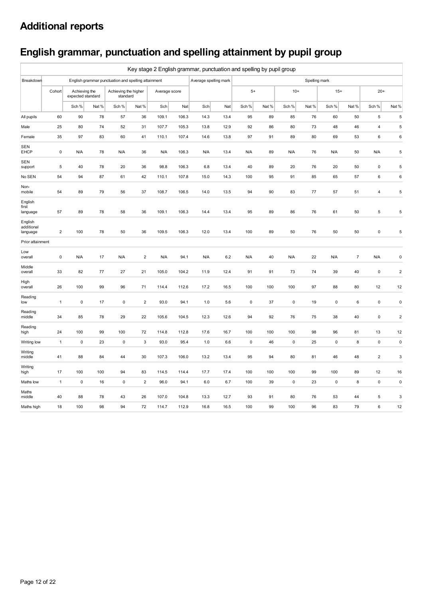# **English grammar, punctuation and spelling attainment by pupil group**

|                                   | Key stage 2 English grammar, punctuation and spelling by pupil group |                                    |      |                                                     |                |               |       |                       |      |           |       |           |               |           |                |                         |                |
|-----------------------------------|----------------------------------------------------------------------|------------------------------------|------|-----------------------------------------------------|----------------|---------------|-------|-----------------------|------|-----------|-------|-----------|---------------|-----------|----------------|-------------------------|----------------|
| Breakdown                         |                                                                      |                                    |      | English grammar punctuation and spelling attainment |                |               |       | Average spelling mark |      |           |       |           | Spelling mark |           |                |                         |                |
|                                   | Cohort                                                               | Achieving the<br>expected standard |      | Achieving the higher<br>standard                    |                | Average score |       |                       |      | $5+$      |       | $10+$     |               | $15+$     |                | $20+$                   |                |
|                                   |                                                                      | Sch %                              | Nat% | Sch %                                               | Nat%           | Sch           | Nat   | Sch                   | Nat  | Sch %     | Nat % | Sch %     | Nat %         | Sch %     | Nat %          | Sch %                   | Nat %          |
| All pupils                        | 60                                                                   | 90                                 | 78   | 57                                                  | 36             | 109.1         | 106.3 | 14.3                  | 13.4 | 95        | 89    | 85        | 76            | 60        | 50             | 5                       | 5              |
| Male                              | 25                                                                   | 80                                 | 74   | 52                                                  | 31             | 107.7         | 105.3 | 13.8                  | 12.9 | 92        | 86    | 80        | 73            | 48        | 46             | $\overline{\mathbf{4}}$ | $\sqrt{5}$     |
| Female                            | 35                                                                   | 97                                 | 83   | 60                                                  | 41             | 110.1         | 107.4 | 14.6                  | 13.8 | 97        | 91    | 89        | 80            | 69        | 53             | 6                       | $\,6\,$        |
| SEN<br><b>EHCP</b>                | $\pmb{0}$                                                            | N/A                                | 78   | N/A                                                 | 36             | N/A           | 106.3 | N/A                   | 13.4 | N/A       | 89    | N/A       | 76            | N/A       | 50             | N/A                     | $\sqrt{5}$     |
| <b>SEN</b><br>support             | 5                                                                    | 40                                 | 78   | 20                                                  | 36             | 98.8          | 106.3 | 6.8                   | 13.4 | 40        | 89    | 20        | 76            | 20        | 50             | $\pmb{0}$               | $\sqrt{5}$     |
| No SEN                            | 54                                                                   | 94                                 | 87   | 61                                                  | 42             | 110.1         | 107.8 | 15.0                  | 14.3 | 100       | 95    | 91        | 85            | 65        | 57             | 6                       | $\,6$          |
| Non-<br>mobile                    | 54                                                                   | 89                                 | 79   | 56                                                  | 37             | 108.7         | 106.5 | 14.0                  | 13.5 | 94        | 90    | 83        | 77            | 57        | 51             | $\overline{\mathbf{4}}$ | $\sqrt{5}$     |
| English<br>first<br>language      | 57                                                                   | 89                                 | 78   | 58                                                  | 36             | 109.1         | 106.3 | 14.4                  | 13.4 | 95        | 89    | 86        | 76            | 61        | 50             | 5                       | 5              |
| English<br>additional<br>language | $\overline{\mathbf{c}}$                                              | 100                                | 78   | 50                                                  | 36             | 109.5         | 106.3 | 12.0                  | 13.4 | 100       | 89    | 50        | 76            | 50        | 50             | 0                       | 5              |
| Prior attainment                  |                                                                      |                                    |      |                                                     |                |               |       |                       |      |           |       |           |               |           |                |                         |                |
| Low<br>overall                    | $\pmb{0}$                                                            | N/A                                | 17   | N/A                                                 | $\overline{c}$ | N/A           | 94.1  | N/A                   | 6.2  | N/A       | 40    | N/A       | 22            | N/A       | $\overline{7}$ | N/A                     | $\pmb{0}$      |
| Middle<br>overall                 | 33                                                                   | 82                                 | 77   | 27                                                  | 21             | 105.0         | 104.2 | 11.9                  | 12.4 | 91        | 91    | 73        | 74            | 39        | 40             | $\pmb{0}$               | $\overline{2}$ |
| High<br>overall                   | 26                                                                   | 100                                | 99   | 96                                                  | 71             | 114.4         | 112.6 | 17.2                  | 16.5 | 100       | 100   | 100       | 97            | 88        | 80             | 12                      | 12             |
| Reading<br>low                    | 1                                                                    | $\pmb{0}$                          | 17   | 0                                                   | $\sqrt{2}$     | 93.0          | 94.1  | 1.0                   | 5.6  | $\pmb{0}$ | 37    | $\pmb{0}$ | 19            | 0         | 6              | $\pmb{0}$               | $\pmb{0}$      |
| Reading<br>middle                 | 34                                                                   | 85                                 | 78   | 29                                                  | 22             | 105.6         | 104.5 | 12.3                  | 12.6 | 94        | 92    | 76        | 75            | 38        | 40             | $\pmb{0}$               | $\sqrt{2}$     |
| Reading<br>high                   | 24                                                                   | 100                                | 99   | 100                                                 | 72             | 114.8         | 112.8 | 17.6                  | 16.7 | 100       | 100   | 100       | 98            | 96        | 81             | 13                      | 12             |
| Writing low                       | $\mathbf{1}$                                                         | $\pmb{0}$                          | 23   | 0                                                   | 3              | 93.0          | 95.4  | 1.0                   | 6.6  | $\pmb{0}$ | 46    | $\pmb{0}$ | 25            | 0         | 8              | $\pmb{0}$               | $\pmb{0}$      |
| Writing<br>middle                 | 41                                                                   | 88                                 | 84   | 44                                                  | 30             | 107.3         | 106.0 | 13.2                  | 13.4 | 95        | 94    | 80        | 81            | 46        | 48             | $\overline{2}$          | $\mathsf 3$    |
| Writing<br>high                   | 17                                                                   | 100                                | 100  | 94                                                  | 83             | 114.5         | 114.4 | 17.7                  | 17.4 | 100       | 100   | 100       | 99            | 100       | 89             | 12                      | 16             |
| Maths low                         | $\mathbf{1}$                                                         | $\pmb{0}$                          | 16   | 0                                                   | $\sqrt{2}$     | 96.0          | 94.1  | $6.0\,$               | 6.7  | 100       | 39    | $\pmb{0}$ | 23            | $\pmb{0}$ | 8              | $\mathsf{O}\xspace$     | $\pmb{0}$      |
| Maths<br>middle                   | 40                                                                   | 88                                 | 78   | 43                                                  | 26             | 107.0         | 104.8 | 13.3                  | 12.7 | 93        | 91    | 80        | 76            | 53        | 44             | 5                       | 3              |
| Maths high                        | 18                                                                   | 100                                | 98   | 94                                                  | 72             | 114.7         | 112.9 | 16.8                  | 16.5 | 100       | 99    | 100       | 96            | 83        | 79             | 6                       | 12             |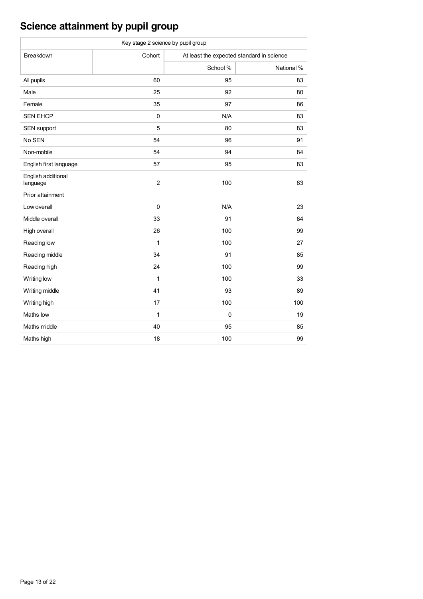# **Science attainment by pupil group**

| Key stage 2 science by pupil group |                |                                           |            |  |  |  |  |  |  |  |
|------------------------------------|----------------|-------------------------------------------|------------|--|--|--|--|--|--|--|
| Breakdown                          | Cohort         | At least the expected standard in science |            |  |  |  |  |  |  |  |
|                                    |                | School %                                  | National % |  |  |  |  |  |  |  |
| All pupils                         | 60             | 95                                        | 83         |  |  |  |  |  |  |  |
| Male                               | 25             | 92                                        | 80         |  |  |  |  |  |  |  |
| Female                             | 35             | 97                                        | 86         |  |  |  |  |  |  |  |
| <b>SEN EHCP</b>                    | $\mathbf 0$    | N/A                                       | 83         |  |  |  |  |  |  |  |
| SEN support                        | 5              | 80                                        | 83         |  |  |  |  |  |  |  |
| No SEN                             | 54             | 96                                        | 91         |  |  |  |  |  |  |  |
| Non-mobile                         | 54             | 94                                        | 84         |  |  |  |  |  |  |  |
| English first language             | 57             | 95                                        | 83         |  |  |  |  |  |  |  |
| English additional<br>language     | $\overline{2}$ | 100                                       | 83         |  |  |  |  |  |  |  |
| Prior attainment                   |                |                                           |            |  |  |  |  |  |  |  |
| Low overall                        | $\mathbf 0$    | N/A                                       | 23         |  |  |  |  |  |  |  |
| Middle overall                     | 33             | 91                                        | 84         |  |  |  |  |  |  |  |
| High overall                       | 26             | 100                                       | 99         |  |  |  |  |  |  |  |
| Reading low                        | 1              | 100                                       | 27         |  |  |  |  |  |  |  |
| Reading middle                     | 34             | 91                                        | 85         |  |  |  |  |  |  |  |
| Reading high                       | 24             | 100                                       | 99         |  |  |  |  |  |  |  |
| Writing low                        | 1              | 100                                       | 33         |  |  |  |  |  |  |  |
| Writing middle                     | 41             | 93                                        | 89         |  |  |  |  |  |  |  |
| Writing high                       | 17             | 100                                       | 100        |  |  |  |  |  |  |  |
| Maths low                          | $\mathbf{1}$   | $\mathbf{0}$                              | 19         |  |  |  |  |  |  |  |
| Maths middle                       | 40             | 95                                        | 85         |  |  |  |  |  |  |  |
| Maths high                         | 18             | 100                                       | 99         |  |  |  |  |  |  |  |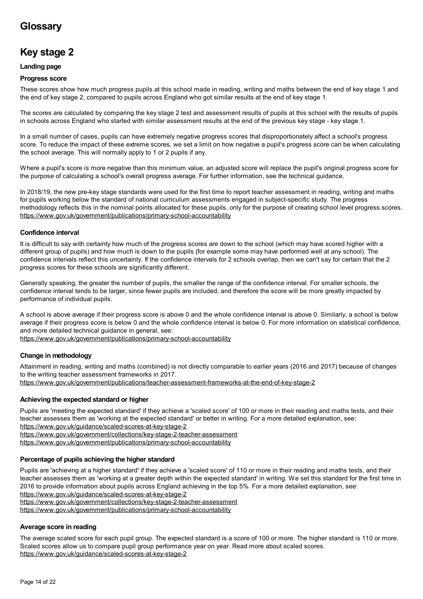# **Glossary**

# **Key stage 2**

#### **Landing page**

#### **Progress score**

These scores show how much progress pupils at this school made in reading, writing and maths between the end of key stage 1 and the end of key stage 2, compared to pupils across England who got similar results at the end of key stage 1.

The scores are calculated by comparing the key stage 2 test and assessment results of pupils at this school with the results of pupils in schools across England who started with similar assessment results at the end of the previous key stage - key stage 1.

In a small number of cases, pupils can have extremely negative progress scores that disproportionately affect a school's progress score. To reduce the impact of these extreme scores, we set a limit on how negative a pupil's progress score can be when calculating the school average. This will normally apply to 1 or 2 pupils if any.

Where a pupil's score is more negative than this minimum value, an adjusted score will replace the pupil's original progress score for the purpose of calculating a school's overall progress average. For further information, see the technical guidance.

In 2018/19, the new pre-key stage standards were used for the first time to report teacher assessment in reading, writing and maths for pupils working below the standard of national curriculum assessments engaged in subject-specific study. The progress methodology reflects this in the nominal points allocated for these pupils, only for the purpose of creating school level progress scores. <https://www.gov.uk/government/publications/primary-school-accountability>

#### **Confidence interval**

It is difficult to say with certainty how much of the progress scores are down to the school (which may have scored higher with a different group of pupils) and how much is down to the pupils (for example some may have performed well at any school). The confidence intervals reflect this uncertainty. If the confidence intervals for 2 schools overlap, then we can't say for certain that the 2 progress scores for these schools are significantly different.

Generally speaking, the greater the number of pupils, the smaller the range of the confidence interval. For smaller schools, the confidence interval tends to be larger, since fewer pupils are included, and therefore the score will be more greatly impacted by performance of individual pupils.

A school is above average if their progress score is above 0 and the whole confidence interval is above 0. Similarly, a school is below average if their progress score is below 0 and the whole confidence interval is below 0. For more information on statistical confidence, and more detailed technical guidance in general, see:

<https://www.gov.uk/government/publications/primary-school-accountability>

### **Change in methodology**

Attainment in reading, writing and maths (combined) is not directly comparable to earlier years (2016 and 2017) because of changes to the writing teacher assessment frameworks in 2017.

<https://www.gov.uk/government/publications/teacher-assessment-frameworks-at-the-end-of-key-stage-2>

#### **Achieving the expected standard or higher**

Pupils are 'meeting the expected standard' if they achieve a 'scaled score' of 100 or more in their reading and maths tests, and their teacher assesses them as 'working at the expected standard' or better in writing. For a more detailed explanation, see:

<https://www.gov.uk/guidance/scaled-scores-at-key-stage-2>

<https://www.gov.uk/government/collections/key-stage-2-teacher-assessment>

<https://www.gov.uk/government/publications/primary-school-accountability>

#### **Percentage of pupils achieving the higher standard**

Pupils are 'achieving at a higher standard' if they achieve a 'scaled score' of 110 or more in their reading and maths tests, and their teacher assesses them as 'working at a greater depth within the expected standard' in writing. We set this standard for the first time in 2016 to provide information about pupils across England achieving in the top 5%. For a more detailed explanation, see:

<https://www.gov.uk/guidance/scaled-scores-at-key-stage-2>

<https://www.gov.uk/government/collections/key-stage-2-teacher-assessment>

<https://www.gov.uk/government/publications/primary-school-accountability>

## **Average score in reading**

The average scaled score for each pupil group. The expected standard is a score of 100 or more. The higher standard is 110 or more. Scaled scores allow us to compare pupil group performance year on year. Read more about scaled scores. <https://www.gov.uk/guidance/scaled-scores-at-key-stage-2>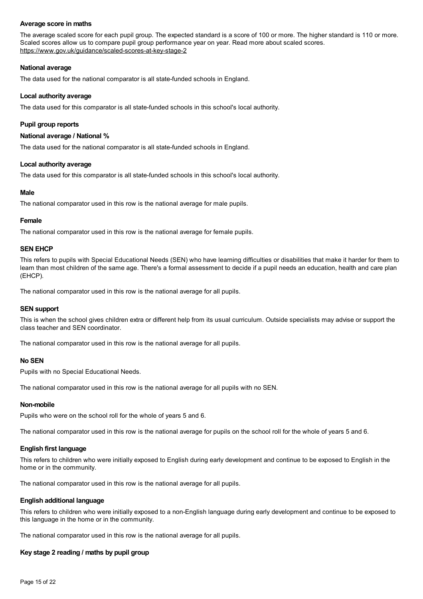#### **Average score in maths**

The average scaled score for each pupil group. The expected standard is a score of 100 or more. The higher standard is 110 or more. Scaled scores allow us to compare pupil group performance year on year. Read more about scaled scores. <https://www.gov.uk/guidance/scaled-scores-at-key-stage-2>

#### **National average**

The data used for the national comparator is all state-funded schools in England.

### **Local authority average**

The data used for this comparator is all state-funded schools in this school's local authority.

## **Pupil group reports**

### **National average /National %**

The data used for the national comparator is all state-funded schools in England.

### **Local authority average**

The data used for this comparator is all state-funded schools in this school's local authority.

#### **Male**

The national comparator used in this row is the national average for male pupils.

#### **Female**

The national comparator used in this row is the national average for female pupils.

#### **SEN EHCP**

This refers to pupils with Special Educational Needs (SEN) who have learning difficulties or disabilities that make it harder for them to learn than most children of the same age. There's a formal assessment to decide if a pupil needs an education, health and care plan (EHCP).

The national comparator used in this row is the national average for all pupils.

#### **SEN support**

This is when the school gives children extra or different help from its usual curriculum. Outside specialists may advise or support the class teacher and SEN coordinator.

The national comparator used in this row is the national average for all pupils.

#### **No SEN**

Pupils with no Special Educational Needs.

The national comparator used in this row is the national average for all pupils with no SEN.

#### **Non-mobile**

Pupils who were on the school roll for the whole of years 5 and 6.

The national comparator used in this row is the national average for pupils on the school roll for the whole of years 5 and 6.

### **English first language**

This refers to children who were initially exposed to English during early development and continue to be exposed to English in the home or in the community.

The national comparator used in this row is the national average for all pupils.

### **English additional language**

This refers to children who were initially exposed to a non-English language during early development and continue to be exposed to this language in the home or in the community.

The national comparator used in this row is the national average for all pupils.

### **Key stage 2 reading / maths by pupil group**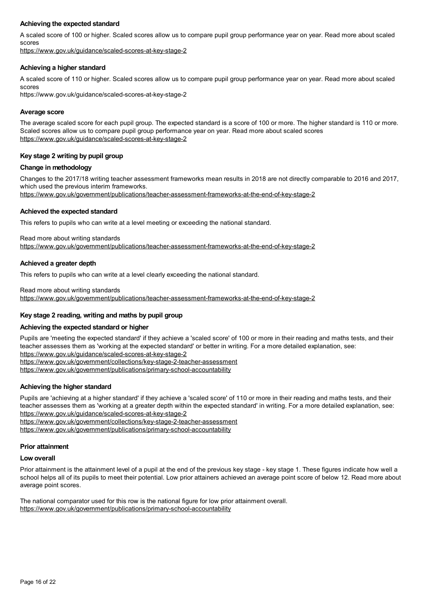#### **Achieving the expected standard**

A scaled score of 100 or higher. Scaled scores allow us to compare pupil group performance year on year. Read more about scaled scores

<https://www.gov.uk/guidance/scaled-scores-at-key-stage-2>

#### **Achieving a higher standard**

A scaled score of 110 or higher. Scaled scores allow us to compare pupil group performance year on year. Read more about scaled scores

https://www.gov.uk/guidance/scaled-scores-at-key-stage-2

#### **Average score**

The average scaled score for each pupil group. The expected standard is a score of 100 or more. The higher standard is 110 or more. Scaled scores allow us to compare pupil group performance year on year. Read more about scaled scores <https://www.gov.uk/guidance/scaled-scores-at-key-stage-2>

#### **Key stage 2 writing by pupil group**

#### **Change in methodology**

Changes to the 2017/18 writing teacher assessment frameworks mean results in 2018 are not directly comparable to 2016 and 2017, which used the previous interim frameworks.

<https://www.gov.uk/government/publications/teacher-assessment-frameworks-at-the-end-of-key-stage-2>

#### **Achieved the expected standard**

This refers to pupils who can write at a level meeting or exceeding the national standard.

Read more about writing standards <https://www.gov.uk/government/publications/teacher-assessment-frameworks-at-the-end-of-key-stage-2>

#### **Achieved a greater depth**

This refers to pupils who can write at a level clearly exceeding the national standard.

Read more about writing standards

<https://www.gov.uk/government/publications/teacher-assessment-frameworks-at-the-end-of-key-stage-2>

#### **Key stage 2 reading, writing and maths by pupil group**

#### **Achieving the expected standard or higher**

Pupils are 'meeting the expected standard' if they achieve a 'scaled score' of 100 or more in their reading and maths tests, and their teacher assesses them as 'working at the expected standard' or better in writing. For a more detailed explanation, see: <https://www.gov.uk/guidance/scaled-scores-at-key-stage-2>

<https://www.gov.uk/government/collections/key-stage-2-teacher-assessment>

<https://www.gov.uk/government/publications/primary-school-accountability>

#### **Achieving the higher standard**

Pupils are 'achieving at a higher standard' if they achieve a 'scaled score' of 110 or more in their reading and maths tests, and their teacher assesses them as 'working at a greater depth within the expected standard' in writing. For a more detailed explanation, see: <https://www.gov.uk/guidance/scaled-scores-at-key-stage-2>

<https://www.gov.uk/government/collections/key-stage-2-teacher-assessment>

<https://www.gov.uk/government/publications/primary-school-accountability>

#### **Prior attainment**

#### **Low overall**

Prior attainment is the attainment level of a pupil at the end of the previous key stage - key stage 1. These figures indicate how well a school helps all of its pupils to meet their potential. Low prior attainers achieved an average point score of below 12. Read more about average point scores.

The national comparator used for this row is the national figure for low prior attainment overall. <https://www.gov.uk/government/publications/primary-school-accountability>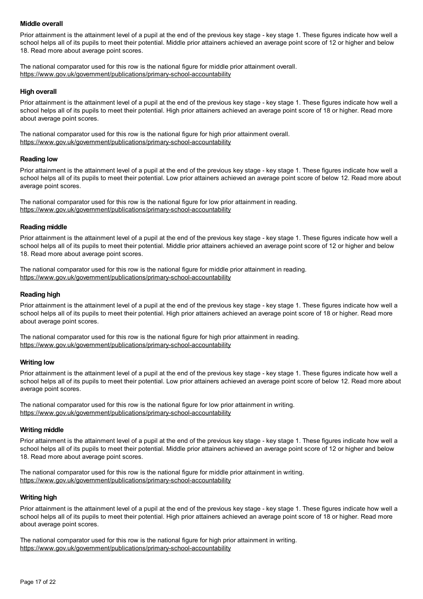#### **Middle overall**

Prior attainment is the attainment level of a pupil at the end of the previous key stage - key stage 1. These figures indicate how well a school helps all of its pupils to meet their potential. Middle prior attainers achieved an average point score of 12 or higher and below 18. Read more about average point scores.

The national comparator used for this row is the national figure for middle prior attainment overall. <https://www.gov.uk/government/publications/primary-school-accountability>

#### **High overall**

Prior attainment is the attainment level of a pupil at the end of the previous key stage - key stage 1. These figures indicate how well a school helps all of its pupils to meet their potential. High prior attainers achieved an average point score of 18 or higher. Read more about average point scores.

The national comparator used for this row is the national figure for high prior attainment overall. <https://www.gov.uk/government/publications/primary-school-accountability>

#### **Reading low**

Prior attainment is the attainment level of a pupil at the end of the previous key stage - key stage 1. These figures indicate how well a school helps all of its pupils to meet their potential. Low prior attainers achieved an average point score of below 12. Read more about average point scores.

The national comparator used for this row is the national figure for low prior attainment in reading. <https://www.gov.uk/government/publications/primary-school-accountability>

#### **Reading middle**

Prior attainment is the attainment level of a pupil at the end of the previous key stage - key stage 1. These figures indicate how well a school helps all of its pupils to meet their potential. Middle prior attainers achieved an average point score of 12 or higher and below 18. Read more about average point scores.

The national comparator used for this row is the national figure for middle prior attainment in reading. <https://www.gov.uk/government/publications/primary-school-accountability>

#### **Reading high**

Prior attainment is the attainment level of a pupil at the end of the previous key stage - key stage 1. These figures indicate how well a school helps all of its pupils to meet their potential. High prior attainers achieved an average point score of 18 or higher. Read more about average point scores.

The national comparator used for this row is the national figure for high prior attainment in reading. <https://www.gov.uk/government/publications/primary-school-accountability>

#### **Writing low**

Prior attainment is the attainment level of a pupil at the end of the previous key stage - key stage 1. These figures indicate how well a school helps all of its pupils to meet their potential. Low prior attainers achieved an average point score of below 12. Read more about average point scores.

The national comparator used for this row is the national figure for low prior attainment in writing. <https://www.gov.uk/government/publications/primary-school-accountability>

#### **Writing middle**

Prior attainment is the attainment level of a pupil at the end of the previous key stage - key stage 1. These figures indicate how well a school helps all of its pupils to meet their potential. Middle prior attainers achieved an average point score of 12 or higher and below 18. Read more about average point scores.

The national comparator used for this row is the national figure for middle prior attainment in writing. <https://www.gov.uk/government/publications/primary-school-accountability>

#### **Writing high**

Prior attainment is the attainment level of a pupil at the end of the previous key stage - key stage 1. These figures indicate how well a school helps all of its pupils to meet their potential. High prior attainers achieved an average point score of 18 or higher. Read more about average point scores.

The national comparator used for this row is the national figure for high prior attainment in writing. <https://www.gov.uk/government/publications/primary-school-accountability>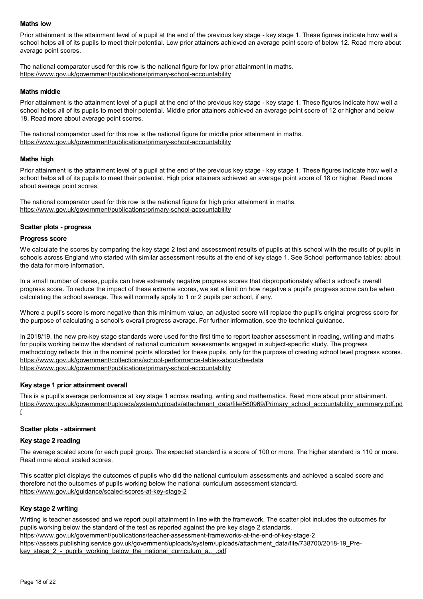#### **Maths low**

Prior attainment is the attainment level of a pupil at the end of the previous key stage - key stage 1. These figures indicate how well a school helps all of its pupils to meet their potential. Low prior attainers achieved an average point score of below 12. Read more about average point scores.

The national comparator used for this row is the national figure for low prior attainment in maths. <https://www.gov.uk/government/publications/primary-school-accountability>

#### **Maths middle**

Prior attainment is the attainment level of a pupil at the end of the previous key stage - key stage 1. These figures indicate how well a school helps all of its pupils to meet their potential. Middle prior attainers achieved an average point score of 12 or higher and below 18. Read more about average point scores.

The national comparator used for this row is the national figure for middle prior attainment in maths. <https://www.gov.uk/government/publications/primary-school-accountability>

#### **Maths high**

Prior attainment is the attainment level of a pupil at the end of the previous key stage - key stage 1. These figures indicate how well a school helps all of its pupils to meet their potential. High prior attainers achieved an average point score of 18 or higher. Read more about average point scores.

The national comparator used for this row is the national figure for high prior attainment in maths. <https://www.gov.uk/government/publications/primary-school-accountability>

#### **Scatter plots - progress**

#### **Progress score**

We calculate the scores by comparing the key stage 2 test and assessment results of pupils at this school with the results of pupils in schools across England who started with similar assessment results at the end of key stage 1. See School performance tables: about the data for more information.

In a small number of cases, pupils can have extremely negative progress scores that disproportionately affect a school's overall progress score. To reduce the impact of these extreme scores, we set a limit on how negative a pupil's progress score can be when calculating the school average. This will normally apply to 1 or 2 pupils per school, if any.

Where a pupil's score is more negative than this minimum value, an adjusted score will replace the pupil's original progress score for the purpose of calculating a school's overall progress average. For further information, see the technical guidance.

In 2018/19, the new pre-key stage standards were used for the first time to report teacher assessment in reading, writing and maths for pupils working below the standard of national curriculum assessments engaged in subject-specific study. The progress methodology reflects this in the nominal points allocated for these pupils, only for the purpose of creating school level progress scores. <https://www.gov.uk/government/collections/school-performance-tables-about-the-data> <https://www.gov.uk/government/publications/primary-school-accountability>

#### **Key stage 1 prior attainment overall**

This is a pupil's average performance at key stage 1 across reading, writing and mathematics. Read more about prior attainment. [https://www.gov.uk/government/uploads/system/uploads/attachment\\_data/file/560969/Primary\\_school\\_accountability\\_summary.pdf.pd](https://www.gov.uk/government/uploads/system/uploads/attachment_data/file/560969/Primary_school_accountability_summary.pdf.pdf) f

#### **Scatter plots - attainment**

#### **Key stage 2 reading**

The average scaled score for each pupil group. The expected standard is a score of 100 or more. The higher standard is 110 or more. Read more about scaled scores.

This scatter plot displays the outcomes of pupils who did the national curriculum assessments and achieved a scaled score and therefore not the outcomes of pupils working below the national curriculum assessment standard. <https://www.gov.uk/guidance/scaled-scores-at-key-stage-2>

#### **Key stage 2 writing**

Writing is teacher assessed and we report pupil attainment in line with the framework. The scatter plot includes the outcomes for pupils working below the standard of the test as reported against the pre key stage 2 standards. <https://www.gov.uk/government/publications/teacher-assessment-frameworks-at-the-end-of-key-stage-2> [https://assets.publishing.service.gov.uk/government/uploads/system/uploads/attachment\\_data/file/738700/2018-19\\_Pre](https://assets.publishing.service.gov.uk/government/uploads/system/uploads/attachment_data/file/738700/2018-19_Pre-key_stage_2_-_pupils_working_below_the_national_curriculum_a.._.pdf)key\_stage\_2 - pupils\_working\_below\_the\_national\_curriculum\_a..\_.pdf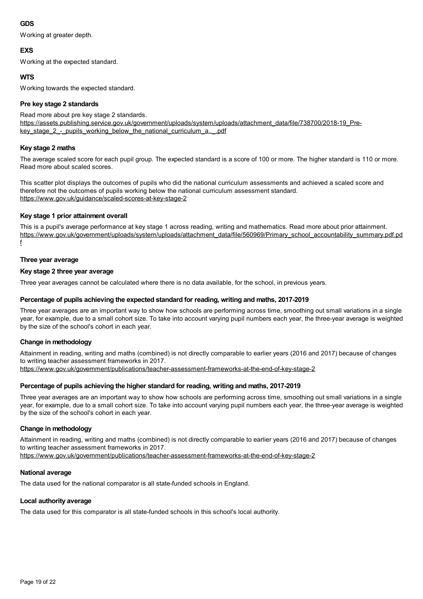### **GDS**

Working at greater depth.

## **EXS**

Working at the expected standard.

## **WTS**

Working towards the expected standard.

### **Pre key stage 2 standards**

Read more about pre key stage 2 standards. [https://assets.publishing.service.gov.uk/government/uploads/system/uploads/attachment\\_data/file/738700/2018-19\\_Pre](https://assets.publishing.service.gov.uk/government/uploads/system/uploads/attachment_data/file/738700/2018-19_Pre-key_stage_2_-_pupils_working_below_the_national_curriculum_a.._.pdf)key\_stage\_2\_-\_pupils\_working\_below\_the\_national\_curriculum\_a..\_.pdf

## **Key stage 2 maths**

The average scaled score for each pupil group. The expected standard is a score of 100 or more. The higher standard is 110 or more. Read more about scaled scores.

This scatter plot displays the outcomes of pupils who did the national curriculum assessments and achieved a scaled score and therefore not the outcomes of pupils working below the national curriculum assessment standard. <https://www.gov.uk/guidance/scaled-scores-at-key-stage-2>

### **Key stage 1 prior attainment overall**

This is a pupil's average performance at key stage 1 across reading, writing and mathematics. Read more about prior attainment. [https://www.gov.uk/government/uploads/system/uploads/attachment\\_data/file/560969/Primary\\_school\\_accountability\\_summary.pdf.pd](https://www.gov.uk/government/uploads/system/uploads/attachment_data/file/560969/Primary_school_accountability_summary.pdf.pdf) f

### **Three year average**

### **Key stage 2 three year average**

Three year averages cannot be calculated where there is no data available, for the school, in previous years.

### **Percentage of pupils achieving the expected standard for reading, writing and maths, 2017-2019**

Three year averages are an important way to show how schools are performing across time, smoothing out small variations in a single year, for example, due to a small cohort size. To take into account varying pupil numbers each year, the three-year average is weighted by the size of the school's cohort in each year.

## **Change in methodology**

Attainment in reading, writing and maths (combined) is not directly comparable to earlier years (2016 and 2017) because of changes to writing teacher assessment frameworks in 2017.

<https://www.gov.uk/government/publications/teacher-assessment-frameworks-at-the-end-of-key-stage-2>

## **Percentage of pupils achieving the higher standard for reading, writing and maths, 2017-2019**

Three year averages are an important way to show how schools are performing across time, smoothing out small variations in a single year, for example, due to a small cohort size. To take into account varying pupil numbers each year, the three-year average is weighted by the size of the school's cohort in each year.

### **Change in methodology**

Attainment in reading, writing and maths (combined) is not directly comparable to earlier years (2016 and 2017) because of changes to writing teacher assessment frameworks in 2017.

<https://www.gov.uk/government/publications/teacher-assessment-frameworks-at-the-end-of-key-stage-2>

### **National average**

The data used for the national comparator is all state-funded schools in England.

## **Local authority average**

The data used for this comparator is all state-funded schools in this school's local authority.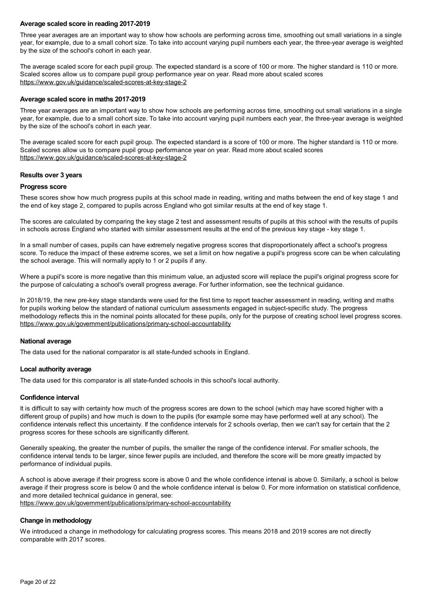#### **Average scaled score in reading 2017-2019**

Three year averages are an important way to show how schools are performing across time, smoothing out small variations in a single year, for example, due to a small cohort size. To take into account varying pupil numbers each year, the three-year average is weighted by the size of the school's cohort in each year.

The average scaled score for each pupil group. The expected standard is a score of 100 or more. The higher standard is 110 or more. Scaled scores allow us to compare pupil group performance year on year. Read more about scaled scores <https://www.gov.uk/guidance/scaled-scores-at-key-stage-2>

#### **Average scaled score in maths 2017-2019**

Three year averages are an important way to show how schools are performing across time, smoothing out small variations in a single year, for example, due to a small cohort size. To take into account varying pupil numbers each year, the three-year average is weighted by the size of the school's cohort in each year.

The average scaled score for each pupil group. The expected standard is a score of 100 or more. The higher standard is 110 or more. Scaled scores allow us to compare pupil group performance year on year. Read more about scaled scores <https://www.gov.uk/guidance/scaled-scores-at-key-stage-2>

#### **Results over 3 years**

#### **Progress score**

These scores show how much progress pupils at this school made in reading, writing and maths between the end of key stage 1 and the end of key stage 2, compared to pupils across England who got similar results at the end of key stage 1.

The scores are calculated by comparing the key stage 2 test and assessment results of pupils at this school with the results of pupils in schools across England who started with similar assessment results at the end of the previous key stage - key stage 1.

In a small number of cases, pupils can have extremely negative progress scores that disproportionately affect a school's progress score. To reduce the impact of these extreme scores, we set a limit on how negative a pupil's progress score can be when calculating the school average. This will normally apply to 1 or 2 pupils if any.

Where a pupil's score is more negative than this minimum value, an adjusted score will replace the pupil's original progress score for the purpose of calculating a school's overall progress average. For further information, see the technical guidance.

In 2018/19, the new pre-key stage standards were used for the first time to report teacher assessment in reading, writing and maths for pupils working below the standard of national curriculum assessments engaged in subject-specific study. The progress methodology reflects this in the nominal points allocated for these pupils, only for the purpose of creating school level progress scores. <https://www.gov.uk/government/publications/primary-school-accountability>

#### **National average**

The data used for the national comparator is all state-funded schools in England.

#### **Local authority average**

The data used for this comparator is all state-funded schools in this school's local authority.

#### **Confidence interval**

It is difficult to say with certainty how much of the progress scores are down to the school (which may have scored higher with a different group of pupils) and how much is down to the pupils (for example some may have performed well at any school). The confidence intervals reflect this uncertainty. If the confidence intervals for 2 schools overlap, then we can't say for certain that the 2 progress scores for these schools are significantly different.

Generally speaking, the greater the number of pupils, the smaller the range of the confidence interval. For smaller schools, the confidence interval tends to be larger, since fewer pupils are included, and therefore the score will be more greatly impacted by performance of individual pupils.

A school is above average if their progress score is above 0 and the whole confidence interval is above 0. Similarly, a school is below average if their progress score is below 0 and the whole confidence interval is below 0. For more information on statistical confidence, and more detailed technical guidance in general, see: <https://www.gov.uk/government/publications/primary-school-accountability>

#### **Change in methodology**

We introduced a change in methodology for calculating progress scores. This means 2018 and 2019 scores are not directly comparable with 2017 scores.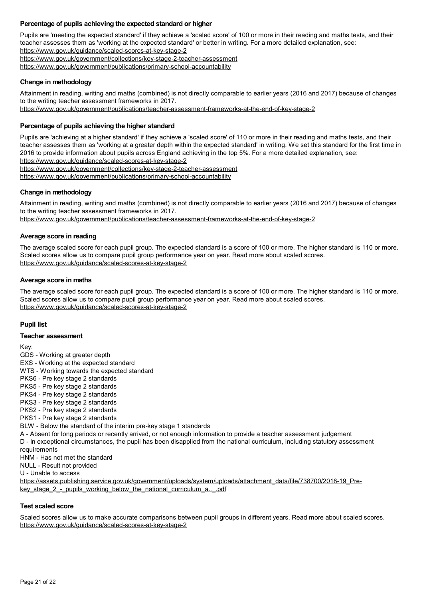#### **Percentage of pupils achieving the expected standard or higher**

Pupils are 'meeting the expected standard' if they achieve a 'scaled score' of 100 or more in their reading and maths tests, and their teacher assesses them as 'working at the expected standard' or better in writing. For a more detailed explanation, see:

<https://www.gov.uk/guidance/scaled-scores-at-key-stage-2>

<https://www.gov.uk/government/collections/key-stage-2-teacher-assessment>

<https://www.gov.uk/government/publications/primary-school-accountability>

#### **Change in methodology**

Attainment in reading, writing and maths (combined) is not directly comparable to earlier years (2016 and 2017) because of changes to the writing teacher assessment frameworks in 2017.

<https://www.gov.uk/government/publications/teacher-assessment-frameworks-at-the-end-of-key-stage-2>

#### **Percentage of pupils achieving the higher standard**

Pupils are 'achieving at a higher standard' if they achieve a 'scaled score' of 110 or more in their reading and maths tests, and their teacher assesses them as 'working at a greater depth within the expected standard' in writing. We set this standard for the first time in 2016 to provide information about pupils across England achieving in the top 5%. For a more detailed explanation, see: <https://www.gov.uk/guidance/scaled-scores-at-key-stage-2>

<https://www.gov.uk/government/collections/key-stage-2-teacher-assessment>

<https://www.gov.uk/government/publications/primary-school-accountability>

#### **Change in methodology**

Attainment in reading, writing and maths (combined) is not directly comparable to earlier years (2016 and 2017) because of changes to the writing teacher assessment frameworks in 2017.

<https://www.gov.uk/government/publications/teacher-assessment-frameworks-at-the-end-of-key-stage-2>

#### **Average score in reading**

The average scaled score for each pupil group. The expected standard is a score of 100 or more. The higher standard is 110 or more. Scaled scores allow us to compare pupil group performance year on year. Read more about scaled scores. <https://www.gov.uk/guidance/scaled-scores-at-key-stage-2>

#### **Average score in maths**

The average scaled score for each pupil group. The expected standard is a score of 100 or more. The higher standard is 110 or more. Scaled scores allow us to compare pupil group performance year on year. Read more about scaled scores. <https://www.gov.uk/guidance/scaled-scores-at-key-stage-2>

#### **Pupil list**

#### **Teacher assessment**

Key:

GDS -Working at greater depth EXS -Working at the expected standard WTS - Working towards the expected standard PKS6 - Pre key stage 2 standards PKS5 - Pre key stage 2 standards PKS4 - Pre key stage 2 standards PKS3 - Pre key stage 2 standards PKS2 - Pre key stage 2 standards PKS1 - Pre key stage 2 standards BLW - Below the standard of the interim pre-key stage 1 standards A -Absent for long periods or recently arrived, or not enough information to provide a teacher assessment judgement D - In exceptional circumstances, the pupil has been disapplied from the national curriculum, including statutory assessment requirements HNM - Has not met the standard NULL - Result not provided U -Unable to access [https://assets.publishing.service.gov.uk/government/uploads/system/uploads/attachment\\_data/file/738700/2018-19\\_Pre](https://assets.publishing.service.gov.uk/government/uploads/system/uploads/attachment_data/file/738700/2018-19_Pre-key_stage_2_-_pupils_working_below_the_national_curriculum_a.._.pdf)key\_stage\_2 -\_pupils\_working\_below\_the\_national\_curriculum\_a..\_.pdf

#### **Test scaled score**

Scaled scores allow us to make accurate comparisons between pupil groups in different years. Read more about scaled scores. <https://www.gov.uk/guidance/scaled-scores-at-key-stage-2>